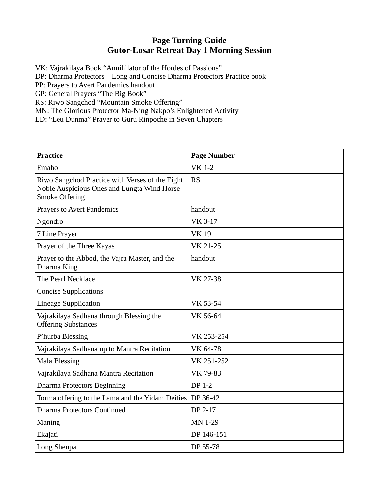## **Page Turning Guide Gutor-Losar Retreat Day 1 Morning Session**

VK: Vajrakilaya Book "Annihilator of the Hordes of Passions"

DP: Dharma Protectors – Long and Concise Dharma Protectors Practice book

PP: Prayers to Avert Pandemics handout

GP: General Prayers "The Big Book"

RS: Riwo Sangchod "Mountain Smoke Offering"

MN: The Glorious Protector Ma-Ning Nakpo's Enlightened Activity

LD: "Leu Dunma" Prayer to Guru Rinpoche in Seven Chapters

| <b>Practice</b>                                                                                                         | <b>Page Number</b> |
|-------------------------------------------------------------------------------------------------------------------------|--------------------|
| Emaho                                                                                                                   | <b>VK 1-2</b>      |
| Riwo Sangchod Practice with Verses of the Eight<br>Noble Auspicious Ones and Lungta Wind Horse<br><b>Smoke Offering</b> | <b>RS</b>          |
| <b>Prayers to Avert Pandemics</b>                                                                                       | handout            |
| Ngondro                                                                                                                 | <b>VK 3-17</b>     |
| 7 Line Prayer                                                                                                           | <b>VK19</b>        |
| Prayer of the Three Kayas                                                                                               | VK 21-25           |
| Prayer to the Abbod, the Vajra Master, and the<br>Dharma King                                                           | handout            |
| The Pearl Necklace                                                                                                      | VK 27-38           |
| <b>Concise Supplications</b>                                                                                            |                    |
| <b>Lineage Supplication</b>                                                                                             | VK 53-54           |
| Vajrakilaya Sadhana through Blessing the<br><b>Offering Substances</b>                                                  | VK 56-64           |
| P'hurba Blessing                                                                                                        | VK 253-254         |
| Vajrakilaya Sadhana up to Mantra Recitation                                                                             | VK 64-78           |
| <b>Mala Blessing</b>                                                                                                    | VK 251-252         |
| Vajrakilaya Sadhana Mantra Recitation                                                                                   | VK 79-83           |
| <b>Dharma Protectors Beginning</b>                                                                                      | <b>DP 1-2</b>      |
| Torma offering to the Lama and the Yidam Deities                                                                        | DP 36-42           |
| <b>Dharma Protectors Continued</b>                                                                                      | DP 2-17            |
| Maning                                                                                                                  | MN 1-29            |
| Ekajati                                                                                                                 | DP 146-151         |
| Long Shenpa                                                                                                             | DP 55-78           |